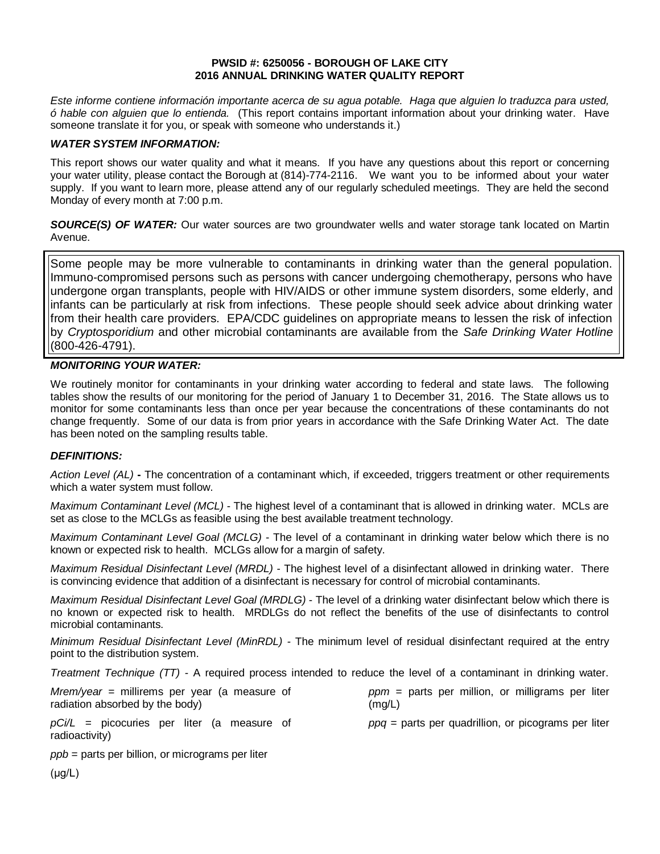#### **PWSID #: 6250056 - BOROUGH OF LAKE CITY 2016 ANNUAL DRINKING WATER QUALITY REPORT**

*Este informe contiene información importante acerca de su agua potable. Haga que alguien lo traduzca para usted, ó hable con alguien que lo entienda.* (This report contains important information about your drinking water. Have someone translate it for you, or speak with someone who understands it.)

#### *WATER SYSTEM INFORMATION:*

This report shows our water quality and what it means. If you have any questions about this report or concerning your water utility, please contact the Borough at (814)-774-2116.We want you to be informed about your water supply. If you want to learn more, please attend any of our regularly scheduled meetings. They are held the second Monday of every month at 7:00 p.m.

**SOURCE(S) OF WATER:** Our water sources are two groundwater wells and water storage tank located on Martin Avenue.

Some people may be more vulnerable to contaminants in drinking water than the general population. Immuno-compromised persons such as persons with cancer undergoing chemotherapy, persons who have undergone organ transplants, people with HIV/AIDS or other immune system disorders, some elderly, and infants can be particularly at risk from infections. These people should seek advice about drinking water from their health care providers. EPA/CDC guidelines on appropriate means to lessen the risk of infection by *Cryptosporidium* and other microbial contaminants are available from the *Safe Drinking Water Hotline* (800-426-4791).

## *MONITORING YOUR WATER:*

We routinely monitor for contaminants in your drinking water according to federal and state laws. The following tables show the results of our monitoring for the period of January 1 to December 31, 2016. The State allows us to monitor for some contaminants less than once per year because the concentrations of these contaminants do not change frequently. Some of our data is from prior years in accordance with the Safe Drinking Water Act. The date has been noted on the sampling results table.

## *DEFINITIONS:*

*Action Level (AL)* **-** The concentration of a contaminant which, if exceeded, triggers treatment or other requirements which a water system must follow.

*Maximum Contaminant Level (MCL)* - The highest level of a contaminant that is allowed in drinking water. MCLs are set as close to the MCLGs as feasible using the best available treatment technology.

*Maximum Contaminant Level Goal (MCLG)* - The level of a contaminant in drinking water below which there is no known or expected risk to health. MCLGs allow for a margin of safety.

*Maximum Residual Disinfectant Level (MRDL)* - The highest level of a disinfectant allowed in drinking water. There is convincing evidence that addition of a disinfectant is necessary for control of microbial contaminants.

*Maximum Residual Disinfectant Level Goal (MRDLG)* - The level of a drinking water disinfectant below which there is no known or expected risk to health. MRDLGs do not reflect the benefits of the use of disinfectants to control microbial contaminants.

*Minimum Residual Disinfectant Level (MinRDL) -* The minimum level of residual disinfectant required at the entry point to the distribution system.

*Treatment Technique (TT) -* A required process intended to reduce the level of a contaminant in drinking water.

| $Mrem/year = millirems per year (a measure of)$                | $ppm =$ parts per million, or milligrams per liter    |
|----------------------------------------------------------------|-------------------------------------------------------|
| radiation absorbed by the body)                                | (mg/L)                                                |
| $pCi/L$ = picocuries per liter (a measure of<br>radioactivity) | $ppq$ = parts per quadrillion, or picograms per liter |

*ppb* = parts per billion, or micrograms per liter

(μg/L)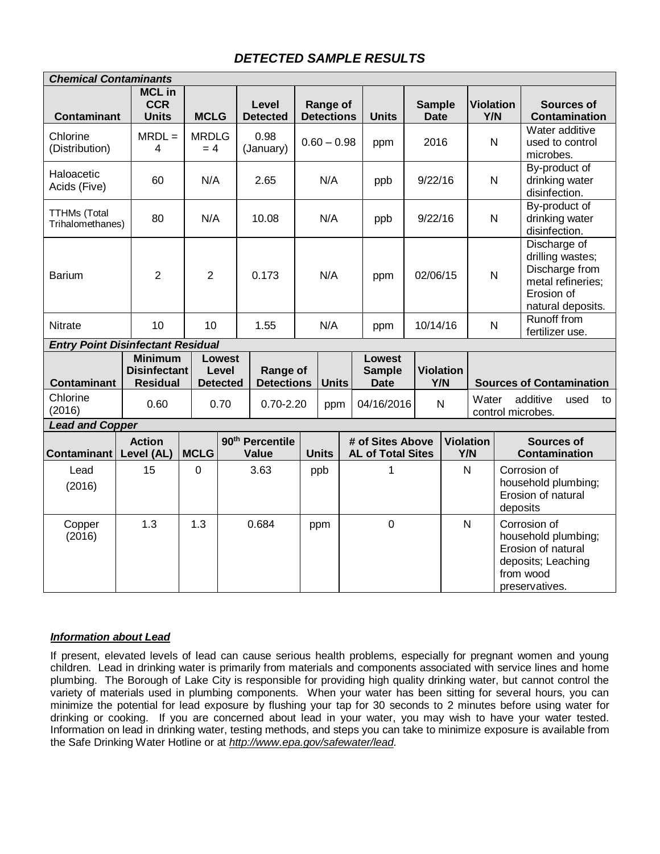# *DETECTED SAMPLE RESULTS*

|                                          | <b>Chemical Contaminants</b>                             |                       |                                           |                                             |               |                                      |     |                                              |                         |                |                                                                                                                            |                                 |                                                                                                                |      |    |
|------------------------------------------|----------------------------------------------------------|-----------------------|-------------------------------------------|---------------------------------------------|---------------|--------------------------------------|-----|----------------------------------------------|-------------------------|----------------|----------------------------------------------------------------------------------------------------------------------------|---------------------------------|----------------------------------------------------------------------------------------------------------------|------|----|
| <b>Contaminant</b>                       | <b>MCL</b> in<br><b>CCR</b><br><b>Units</b>              | <b>MCLG</b>           |                                           | Level<br><b>Detected</b>                    |               | <b>Range of</b><br><b>Detections</b> |     | <b>Sample</b><br><b>Units</b><br><b>Date</b> |                         |                | <b>Violation</b><br>Y/N                                                                                                    |                                 | <b>Sources of</b><br><b>Contamination</b>                                                                      |      |    |
| Chlorine<br>(Distribution)               | $MRDL =$<br>4                                            | <b>MRDLG</b><br>$= 4$ |                                           | 0.98<br>(January)                           | $0.60 - 0.98$ |                                      |     | ppm                                          | 2016                    |                | N                                                                                                                          |                                 | Water additive<br>used to control<br>microbes.                                                                 |      |    |
| Haloacetic<br>Acids (Five)               | 60                                                       | N/A                   |                                           | 2.65                                        | N/A           |                                      |     | ppb                                          | 9/22/16                 |                | $\mathsf{N}$                                                                                                               |                                 | By-product of<br>drinking water<br>disinfection.                                                               |      |    |
| <b>TTHMs (Total</b><br>Trihalomethanes)  | 80                                                       | N/A                   |                                           | 10.08                                       |               | N/A                                  |     | ppb                                          | 9/22/16                 |                | $\mathsf{N}$                                                                                                               |                                 | By-product of<br>drinking water<br>disinfection.                                                               |      |    |
| <b>Barium</b>                            | $\overline{2}$                                           | $\overline{2}$        |                                           | 0.173                                       | N/A           |                                      | ppm |                                              | 02/06/15                |                | Discharge of<br>drilling wastes;<br>Discharge from<br>$\mathsf{N}$<br>metal refineries;<br>Erosion of<br>natural deposits. |                                 |                                                                                                                |      |    |
| <b>Nitrate</b>                           | 10                                                       | 10                    |                                           | 1.55                                        | N/A           |                                      |     | ppm                                          | 10/14/16                |                | $\mathsf{N}$                                                                                                               |                                 | Runoff from<br>fertilizer use.                                                                                 |      |    |
| <b>Entry Point Disinfectant Residual</b> |                                                          |                       |                                           |                                             |               |                                      |     |                                              |                         |                |                                                                                                                            |                                 |                                                                                                                |      |    |
| <b>Contaminant</b>                       | <b>Minimum</b><br><b>Disinfectant</b><br><b>Residual</b> |                       | <b>Lowest</b><br>Level<br><b>Detected</b> | Range of<br><b>Detections</b>               |               | <b>Units</b>                         |     | Lowest<br><b>Sample</b><br><b>Date</b>       | <b>Violation</b><br>Y/N |                |                                                                                                                            | <b>Sources of Contamination</b> |                                                                                                                |      |    |
| Chlorine<br>(2016)                       | 0.60                                                     |                       | 0.70                                      | $0.70 - 2.20$                               |               | ppm                                  |     | 04/16/2016                                   | $\mathsf{N}$            |                | additive<br>Water<br>control microbes.                                                                                     |                                 |                                                                                                                | used | to |
| <b>Lead and Copper</b>                   |                                                          |                       |                                           |                                             |               |                                      |     |                                              |                         |                |                                                                                                                            |                                 |                                                                                                                |      |    |
| Contaminant                              | <b>Action</b><br>Level (AL)                              | <b>MCLG</b>           |                                           | 90 <sup>th</sup> Percentile<br><b>Value</b> |               | <b>Units</b>                         |     | # of Sites Above<br><b>AL of Total Sites</b> |                         |                | <b>Violation</b><br>Y/N                                                                                                    |                                 | <b>Sources of</b><br><b>Contamination</b>                                                                      |      |    |
| Lead<br>(2016)                           | 15                                                       | $\Omega$              |                                           | 3.63                                        |               | ppb                                  | 1   |                                              |                         | $\overline{N}$ |                                                                                                                            |                                 | Corrosion of<br>household plumbing;<br>Erosion of natural<br>deposits                                          |      |    |
| Copper<br>(2016)                         | 1.3                                                      | 1.3                   |                                           | 0.684                                       |               | ppm                                  |     | $\overline{0}$                               |                         |                | $\mathsf{N}$                                                                                                               |                                 | Corrosion of<br>household plumbing;<br>Erosion of natural<br>deposits; Leaching<br>from wood<br>preservatives. |      |    |

## *Information about Lead*

If present, elevated levels of lead can cause serious health problems, especially for pregnant women and young children. Lead in drinking water is primarily from materials and components associated with service lines and home plumbing. The Borough of Lake City is responsible for providing high quality drinking water, but cannot control the variety of materials used in plumbing components. When your water has been sitting for several hours, you can minimize the potential for lead exposure by flushing your tap for 30 seconds to 2 minutes before using water for drinking or cooking. If you are concerned about lead in your water, you may wish to have your water tested. Information on lead in drinking water, testing methods, and steps you can take to minimize exposure is available from the Safe Drinking Water Hotline or at *[http://www.epa.gov/safewater/lead.](http://www.epa.gov/safewater/lead)*